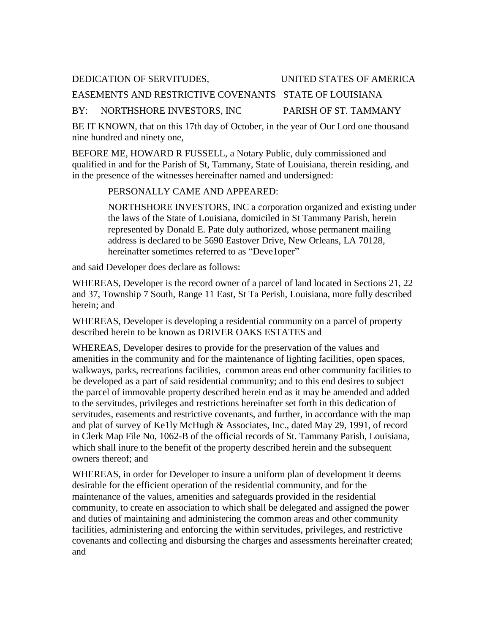## DEDICATION OF SERVITUDES, UNITED STATES OF AMERICA

## EASEMENTS AND RESTRICTIVE COVENANTS STATE OF LOUISIANA

#### BY: NORTHSHORE INVESTORS, INC PARISH OF ST. TAMMANY

BE IT KNOWN, that on this 17th day of October, in the year of Our Lord one thousand nine hundred and ninety one,

BEFORE ME, HOWARD R FUSSELL, a Notary Public, duly commissioned and qualified in and for the Parish of St, Tammany, State of Louisiana, therein residing, and in the presence of the witnesses hereinafter named and undersigned:

#### PERSONALLY CAME AND APPEARED:

NORTHSHORE INVESTORS, INC a corporation organized and existing under the laws of the State of Louisiana, domiciled in St Tammany Parish, herein represented by Donald E. Pate duly authorized, whose permanent mailing address is declared to be 5690 Eastover Drive, New Orleans, LA 70128, hereinafter sometimes referred to as "Deve1oper"

and said Developer does declare as follows:

WHEREAS, Developer is the record owner of a parcel of land located in Sections 21, 22 and 37, Township 7 South, Range 11 East, St Ta Perish, Louisiana, more fully described herein; and

WHEREAS, Developer is developing a residential community on a parcel of property described herein to be known as DRIVER OAKS ESTATES and

WHEREAS, Developer desires to provide for the preservation of the values and amenities in the community and for the maintenance of lighting facilities, open spaces, walkways, parks, recreations facilities, common areas end other community facilities to be developed as a part of said residential community; and to this end desires to subject the parcel of immovable property described herein end as it may be amended and added to the servitudes, privileges and restrictions hereinafter set forth in this dedication of servitudes, easements and restrictive covenants, and further, in accordance with the map and plat of survey of Ke1ly McHugh & Associates, Inc., dated May 29, 1991, of record in Clerk Map File No, 1062-B of the official records of St. Tammany Parish, Louisiana, which shall inure to the benefit of the property described herein and the subsequent owners thereof; and

WHEREAS, in order for Developer to insure a uniform plan of development it deems desirable for the efficient operation of the residential community, and for the maintenance of the values, amenities and safeguards provided in the residential community, to create en association to which shall be delegated and assigned the power and duties of maintaining and administering the common areas and other community facilities, administering and enforcing the within servitudes, privileges, and restrictive covenants and collecting and disbursing the charges and assessments hereinafter created; and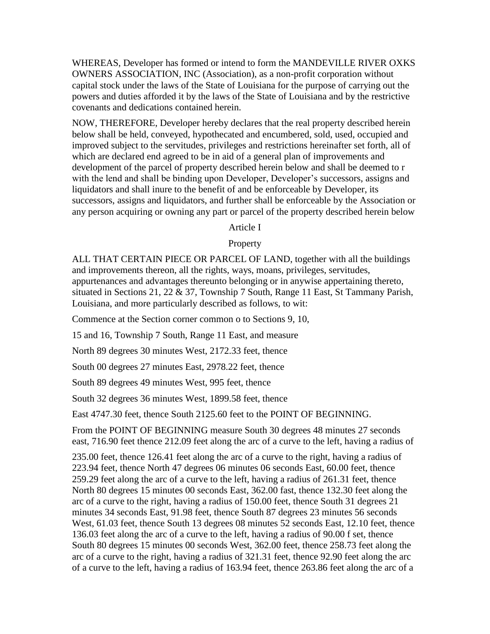WHEREAS, Developer has formed or intend to form the MANDEVILLE RIVER OXKS OWNERS ASSOCIATION, INC (Association), as a non-profit corporation without capital stock under the laws of the State of Louisiana for the purpose of carrying out the powers and duties afforded it by the laws of the State of Louisiana and by the restrictive covenants and dedications contained herein.

NOW, THEREFORE, Developer hereby declares that the real property described herein below shall be held, conveyed, hypothecated and encumbered, sold, used, occupied and improved subject to the servitudes, privileges and restrictions hereinafter set forth, all of which are declared end agreed to be in aid of a general plan of improvements and development of the parcel of property described herein below and shall be deemed to r with the lend and shall be binding upon Developer, Developer's successors, assigns and liquidators and shall inure to the benefit of and be enforceable by Developer, its successors, assigns and liquidators, and further shall be enforceable by the Association or any person acquiring or owning any part or parcel of the property described herein below

#### Article I

#### **Property**

ALL THAT CERTAIN PIECE OR PARCEL OF LAND, together with all the buildings and improvements thereon, all the rights, ways, moans, privileges, servitudes, appurtenances and advantages thereunto belonging or in anywise appertaining thereto, situated in Sections 21, 22 & 37, Township 7 South, Range 11 East, St Tammany Parish, Louisiana, and more particularly described as follows, to wit:

Commence at the Section corner common o to Sections 9, 10,

15 and 16, Township 7 South, Range 11 East, and measure

North 89 degrees 30 minutes West, 2172.33 feet, thence

South 00 degrees 27 minutes East, 2978.22 feet, thence

South 89 degrees 49 minutes West, 995 feet, thence

South 32 degrees 36 minutes West, 1899.58 feet, thence

East 4747.30 feet, thence South 2125.60 feet to the POINT OF BEGINNING.

From the POINT OF BEGINNING measure South 30 degrees 48 minutes 27 seconds east, 716.90 feet thence 212.09 feet along the arc of a curve to the left, having a radius of

235.00 feet, thence 126.41 feet along the arc of a curve to the right, having a radius of 223.94 feet, thence North 47 degrees 06 minutes 06 seconds East, 60.00 feet, thence 259.29 feet along the arc of a curve to the left, having a radius of 261.31 feet, thence North 80 degrees 15 minutes 00 seconds East, 362.00 fast, thence 132.30 feet along the arc of a curve to the right, having a radius of 150.00 feet, thence South 31 degrees 21 minutes 34 seconds East, 91.98 feet, thence South 87 degrees 23 minutes 56 seconds West, 61.03 feet, thence South 13 degrees 08 minutes 52 seconds East, 12.10 feet, thence 136.03 feet along the arc of a curve to the left, having a radius of 90.00 f set, thence South 80 degrees 15 minutes 00 seconds West, 362.00 feet, thence 258.73 feet along the arc of a curve to the right, having a radius of 321.31 feet, thence 92.90 feet along the arc of a curve to the left, having a radius of 163.94 feet, thence 263.86 feet along the arc of a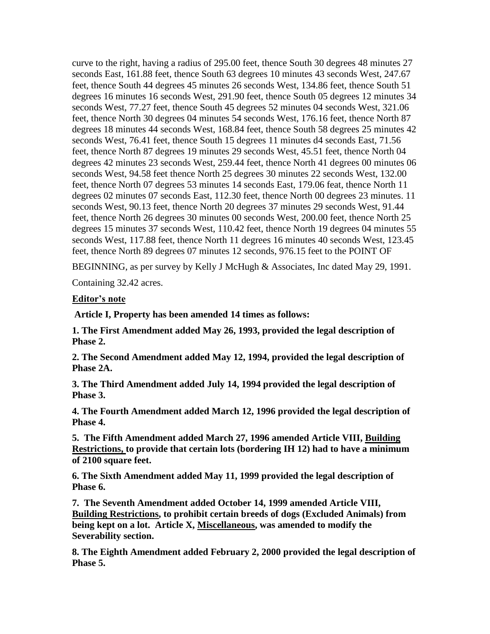curve to the right, having a radius of 295.00 feet, thence South 30 degrees 48 minutes 27 seconds East, 161.88 feet, thence South 63 degrees 10 minutes 43 seconds West, 247.67 feet, thence South 44 degrees 45 minutes 26 seconds West, 134.86 feet, thence South 51 degrees 16 minutes 16 seconds West, 291.90 feet, thence South 05 degrees 12 minutes 34 seconds West, 77.27 feet, thence South 45 degrees 52 minutes 04 seconds West, 321.06 feet, thence North 30 degrees 04 minutes 54 seconds West, 176.16 feet, thence North 87 degrees 18 minutes 44 seconds West, 168.84 feet, thence South 58 degrees 25 minutes 42 seconds West, 76.41 feet, thence South 15 degrees 11 minutes d4 seconds East, 71.56 feet, thence North 87 degrees 19 minutes 29 seconds West, 45.51 feet, thence North 04 degrees 42 minutes 23 seconds West, 259.44 feet, thence North 41 degrees 00 minutes 06 seconds West, 94.58 feet thence North 25 degrees 30 minutes 22 seconds West, 132.00 feet, thence North 07 degrees 53 minutes 14 seconds East, 179.06 feat, thence North 11 degrees 02 minutes 07 seconds East, 112.30 feet, thence North 00 degrees 23 minutes. 11 seconds West, 90.13 feet, thence North 20 degrees 37 minutes 29 seconds West, 91.44 feet, thence North 26 degrees 30 minutes 00 seconds West, 200.00 feet, thence North 25 degrees 15 minutes 37 seconds West, 110.42 feet, thence North 19 degrees 04 minutes 55 seconds West, 117.88 feet, thence North 11 degrees 16 minutes 40 seconds West, 123.45 feet, thence North 89 degrees 07 minutes 12 seconds, 976.15 feet to the POINT OF

BEGINNING, as per survey by Kelly J McHugh & Associates, Inc dated May 29, 1991.

Containing 32.42 acres.

### **Editor's note**

**Article I, Property has been amended 14 times as follows:**

**1. The First Amendment added May 26, 1993, provided the legal description of Phase 2.**

**2. The Second Amendment added May 12, 1994, provided the legal description of Phase 2A.**

**3. The Third Amendment added July 14, 1994 provided the legal description of Phase 3.**

**4. The Fourth Amendment added March 12, 1996 provided the legal description of Phase 4.**

**5. The Fifth Amendment added March 27, 1996 amended Article VIII, Building Restrictions, to provide that certain lots (bordering IH 12) had to have a minimum of 2100 square feet.**

**6. The Sixth Amendment added May 11, 1999 provided the legal description of Phase 6.**

**7. The Seventh Amendment added October 14, 1999 amended Article VIII, Building Restrictions, to prohibit certain breeds of dogs (Excluded Animals) from being kept on a lot. Article X, Miscellaneous, was amended to modify the Severability section.**

**8. The Eighth Amendment added February 2, 2000 provided the legal description of Phase 5.**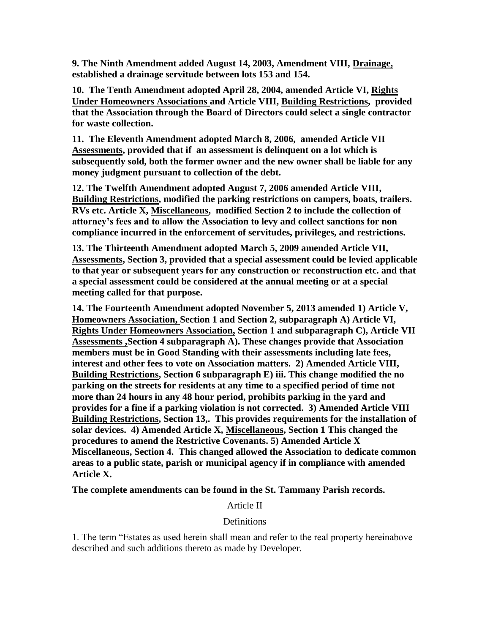**9. The Ninth Amendment added August 14, 2003, Amendment VIII, Drainage, established a drainage servitude between lots 153 and 154.**

**10. The Tenth Amendment adopted April 28, 2004, amended Article VI, Rights Under Homeowners Associations and Article VIII, Building Restrictions, provided that the Association through the Board of Directors could select a single contractor for waste collection.** 

**11. The Eleventh Amendment adopted March 8, 2006, amended Article VII Assessments, provided that if an assessment is delinquent on a lot which is subsequently sold, both the former owner and the new owner shall be liable for any money judgment pursuant to collection of the debt.** 

**12. The Twelfth Amendment adopted August 7, 2006 amended Article VIII, Building Restrictions, modified the parking restrictions on campers, boats, trailers. RVs etc. Article X, Miscellaneous, modified Section 2 to include the collection of attorney's fees and to allow the Association to levy and collect sanctions for non compliance incurred in the enforcement of servitudes, privileges, and restrictions.** 

**13. The Thirteenth Amendment adopted March 5, 2009 amended Article VII, Assessments, Section 3, provided that a special assessment could be levied applicable to that year or subsequent years for any construction or reconstruction etc. and that a special assessment could be considered at the annual meeting or at a special meeting called for that purpose.**

**14. The Fourteenth Amendment adopted November 5, 2013 amended 1) Article V, Homeowners Association, Section 1 and Section 2, subparagraph A) Article VI, Rights Under Homeowners Association, Section 1 and subparagraph C), Article VII Assessments ,Section 4 subparagraph A). These changes provide that Association members must be in Good Standing with their assessments including late fees, interest and other fees to vote on Association matters. 2) Amended Article VIII, Building Restrictions, Section 6 subparagraph E) iii. This change modified the no parking on the streets for residents at any time to a specified period of time not more than 24 hours in any 48 hour period, prohibits parking in the yard and provides for a fine if a parking violation is not corrected. 3) Amended Article VIII Building Restrictions, Section 13,. This provides requirements for the installation of solar devices. 4) Amended Article X, Miscellaneous, Section 1 This changed the procedures to amend the Restrictive Covenants. 5) Amended Article X Miscellaneous, Section 4. This changed allowed the Association to dedicate common areas to a public state, parish or municipal agency if in compliance with amended Article X.**

**The complete amendments can be found in the St. Tammany Parish records.**

## Article II

## **Definitions**

1. The term "Estates as used herein shall mean and refer to the real property hereinabove described and such additions thereto as made by Developer.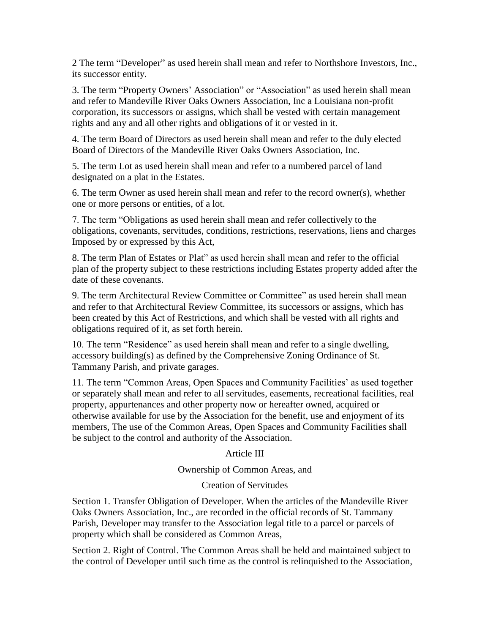2 The term "Developer" as used herein shall mean and refer to Northshore Investors, Inc., its successor entity.

3. The term "Property Owners' Association" or "Association" as used herein shall mean and refer to Mandeville River Oaks Owners Association, Inc a Louisiana non-profit corporation, its successors or assigns, which shall be vested with certain management rights and any and all other rights and obligations of it or vested in it.

4. The term Board of Directors as used herein shall mean and refer to the duly elected Board of Directors of the Mandeville River Oaks Owners Association, Inc.

5. The term Lot as used herein shall mean and refer to a numbered parcel of land designated on a plat in the Estates.

6. The term Owner as used herein shall mean and refer to the record owner(s), whether one or more persons or entities, of a lot.

7. The term "Obligations as used herein shall mean and refer collectively to the obligations, covenants, servitudes, conditions, restrictions, reservations, liens and charges Imposed by or expressed by this Act,

8. The term Plan of Estates or Plat" as used herein shall mean and refer to the official plan of the property subject to these restrictions including Estates property added after the date of these covenants.

9. The term Architectural Review Committee or Committee" as used herein shall mean and refer to that Architectural Review Committee, its successors or assigns, which has been created by this Act of Restrictions, and which shall be vested with all rights and obligations required of it, as set forth herein.

10. The term "Residence" as used herein shall mean and refer to a single dwelling, accessory building(s) as defined by the Comprehensive Zoning Ordinance of St. Tammany Parish, and private garages.

11. The term "Common Areas, Open Spaces and Community Facilities' as used together or separately shall mean and refer to all servitudes, easements, recreational facilities, real property, appurtenances and other property now or hereafter owned, acquired or otherwise available for use by the Association for the benefit, use and enjoyment of its members, The use of the Common Areas, Open Spaces and Community Facilities shall be subject to the control and authority of the Association.

## Article III

Ownership of Common Areas, and

#### Creation of Servitudes

Section 1. Transfer Obligation of Developer. When the articles of the Mandeville River Oaks Owners Association, Inc., are recorded in the official records of St. Tammany Parish, Developer may transfer to the Association legal title to a parcel or parcels of property which shall be considered as Common Areas,

Section 2. Right of Control. The Common Areas shall be held and maintained subject to the control of Developer until such time as the control is relinquished to the Association,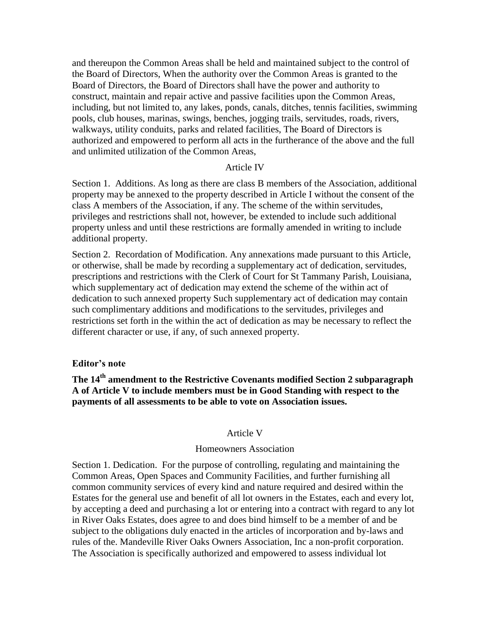and thereupon the Common Areas shall be held and maintained subject to the control of the Board of Directors, When the authority over the Common Areas is granted to the Board of Directors, the Board of Directors shall have the power and authority to construct, maintain and repair active and passive facilities upon the Common Areas, including, but not limited to, any lakes, ponds, canals, ditches, tennis facilities, swimming pools, club houses, marinas, swings, benches, jogging trails, servitudes, roads, rivers, walkways, utility conduits, parks and related facilities, The Board of Directors is authorized and empowered to perform all acts in the furtherance of the above and the full and unlimited utilization of the Common Areas,

#### Article IV

Section 1. Additions. As long as there are class B members of the Association, additional property may be annexed to the property described in Article I without the consent of the class A members of the Association, if any. The scheme of the within servitudes, privileges and restrictions shall not, however, be extended to include such additional property unless and until these restrictions are formally amended in writing to include additional property.

Section 2. Recordation of Modification. Any annexations made pursuant to this Article, or otherwise, shall be made by recording a supplementary act of dedication, servitudes, prescriptions and restrictions with the Clerk of Court for St Tammany Parish, Louisiana, which supplementary act of dedication may extend the scheme of the within act of dedication to such annexed property Such supplementary act of dedication may contain such complimentary additions and modifications to the servitudes, privileges and restrictions set forth in the within the act of dedication as may be necessary to reflect the different character or use, if any, of such annexed property.

#### **Editor's note**

**The 14th amendment to the Restrictive Covenants modified Section 2 subparagraph A of Article V to include members must be in Good Standing with respect to the payments of all assessments to be able to vote on Association issues.**

#### Article V

#### Homeowners Association

Section 1. Dedication. For the purpose of controlling, regulating and maintaining the Common Areas, Open Spaces and Community Facilities, and further furnishing all common community services of every kind and nature required and desired within the Estates for the general use and benefit of all lot owners in the Estates, each and every lot, by accepting a deed and purchasing a lot or entering into a contract with regard to any lot in River Oaks Estates, does agree to and does bind himself to be a member of and be subject to the obligations duly enacted in the articles of incorporation and by-laws and rules of the. Mandeville River Oaks Owners Association, Inc a non-profit corporation. The Association is specifically authorized and empowered to assess individual lot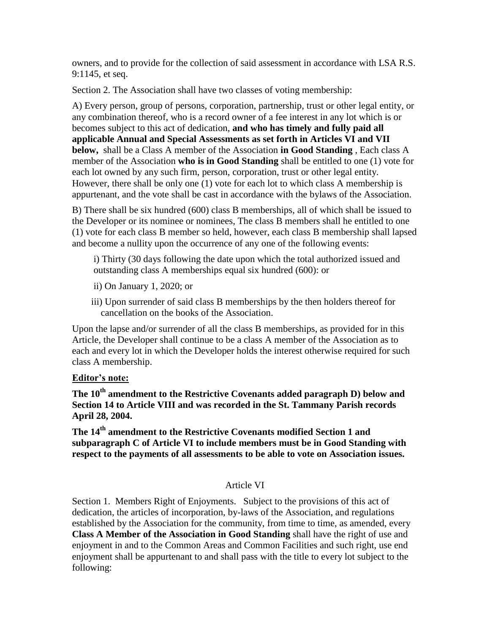owners, and to provide for the collection of said assessment in accordance with LSA R.S. 9:1145, et seq.

Section 2. The Association shall have two classes of voting membership:

A) Every person, group of persons, corporation, partnership, trust or other legal entity, or any combination thereof, who is a record owner of a fee interest in any lot which is or becomes subject to this act of dedication, **and who has timely and fully paid all applicable Annual and Special Assessments as set forth in Articles VI and VII below,** shall be a Class A member of the Association **in Good Standing** , Each class A member of the Association **who is in Good Standing** shall be entitled to one (1) vote for each lot owned by any such firm, person, corporation, trust or other legal entity. However, there shall be only one (1) vote for each lot to which class A membership is appurtenant, and the vote shall be cast in accordance with the bylaws of the Association.

B) There shall be six hundred (600) class B memberships, all of which shall be issued to the Developer or its nominee or nominees, The class B members shall he entitled to one (1) vote for each class B member so held, however, each class B membership shall lapsed and become a nullity upon the occurrence of any one of the following events:

i) Thirty (30 days following the date upon which the total authorized issued and outstanding class A memberships equal six hundred (600): or

- ii) On January 1, 2020; or
- iii) Upon surrender of said class B memberships by the then holders thereof for cancellation on the books of the Association.

Upon the lapse and/or surrender of all the class B memberships, as provided for in this Article, the Developer shall continue to be a class A member of the Association as to each and every lot in which the Developer holds the interest otherwise required for such class A membership.

#### **Editor's note:**

**The 10th amendment to the Restrictive Covenants added paragraph D) below and Section 14 to Article VIII and was recorded in the St. Tammany Parish records April 28, 2004.**

**The 14th amendment to the Restrictive Covenants modified Section 1 and subparagraph C of Article VI to include members must be in Good Standing with respect to the payments of all assessments to be able to vote on Association issues.**

#### Article VI

Section 1. Members Right of Enjoyments. Subject to the provisions of this act of dedication, the articles of incorporation, by-laws of the Association, and regulations established by the Association for the community, from time to time, as amended, every **Class A Member of the Association in Good Standing** shall have the right of use and enjoyment in and to the Common Areas and Common Facilities and such right, use end enjoyment shall be appurtenant to and shall pass with the title to every lot subject to the following: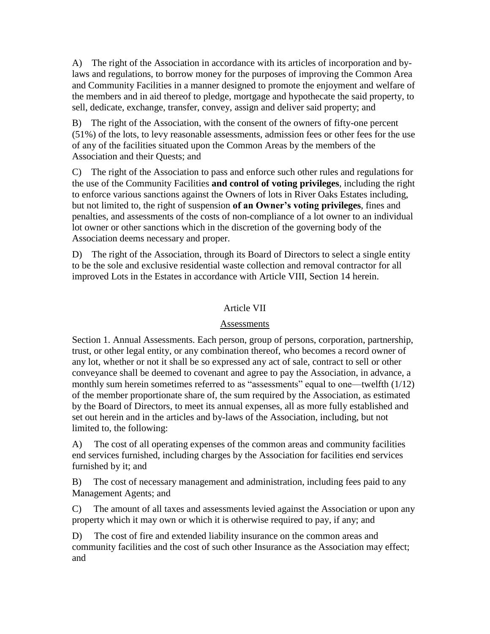A) The right of the Association in accordance with its articles of incorporation and bylaws and regulations, to borrow money for the purposes of improving the Common Area and Community Facilities in a manner designed to promote the enjoyment and welfare of the members and in aid thereof to pledge, mortgage and hypothecate the said property, to sell, dedicate, exchange, transfer, convey, assign and deliver said property; and

B) The right of the Association, with the consent of the owners of fifty-one percent (51%) of the lots, to levy reasonable assessments, admission fees or other fees for the use of any of the facilities situated upon the Common Areas by the members of the Association and their Quests; and

C) The right of the Association to pass and enforce such other rules and regulations for the use of the Community Facilities **and control of voting privileges**, including the right to enforce various sanctions against the Owners of lots in River Oaks Estates including, but not limited to, the right of suspension **of an Owner's voting privileges**, fines and penalties, and assessments of the costs of non-compliance of a lot owner to an individual lot owner or other sanctions which in the discretion of the governing body of the Association deems necessary and proper.

D) The right of the Association, through its Board of Directors to select a single entity to be the sole and exclusive residential waste collection and removal contractor for all improved Lots in the Estates in accordance with Article VIII, Section 14 herein.

### Article VII

#### Assessments

Section 1. Annual Assessments. Each person, group of persons, corporation, partnership, trust, or other legal entity, or any combination thereof, who becomes a record owner of any lot, whether or not it shall be so expressed any act of sale, contract to sell or other conveyance shall be deemed to covenant and agree to pay the Association, in advance, a monthly sum herein sometimes referred to as "assessments" equal to one—twelfth (1/12) of the member proportionate share of, the sum required by the Association, as estimated by the Board of Directors, to meet its annual expenses, all as more fully established and set out herein and in the articles and by-laws of the Association, including, but not limited to, the following:

A) The cost of all operating expenses of the common areas and community facilities end services furnished, including charges by the Association for facilities end services furnished by it; and

B) The cost of necessary management and administration, including fees paid to any Management Agents; and

C) The amount of all taxes and assessments levied against the Association or upon any property which it may own or which it is otherwise required to pay, if any; and

D) The cost of fire and extended liability insurance on the common areas and community facilities and the cost of such other Insurance as the Association may effect; and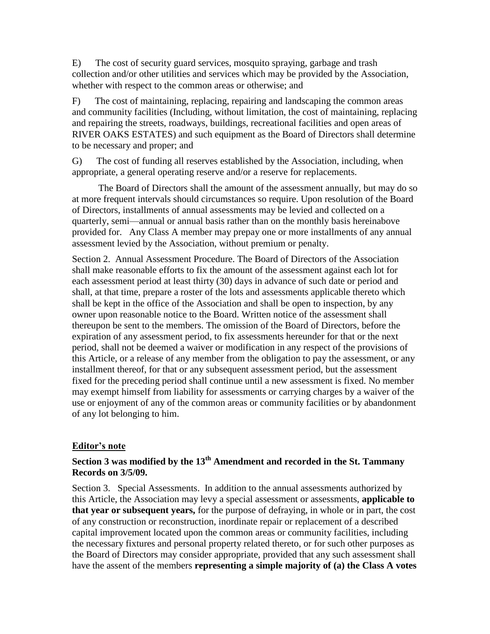E) The cost of security guard services, mosquito spraying, garbage and trash collection and/or other utilities and services which may be provided by the Association, whether with respect to the common areas or otherwise; and

F) The cost of maintaining, replacing, repairing and landscaping the common areas and community facilities (Including, without limitation, the cost of maintaining, replacing and repairing the streets, roadways, buildings, recreational facilities and open areas of RIVER OAKS ESTATES) and such equipment as the Board of Directors shall determine to be necessary and proper; and

G) The cost of funding all reserves established by the Association, including, when appropriate, a general operating reserve and/or a reserve for replacements.

 The Board of Directors shall the amount of the assessment annually, but may do so at more frequent intervals should circumstances so require. Upon resolution of the Board of Directors, installments of annual assessments may be levied and collected on a quarterly, semi—annual or annual basis rather than on the monthly basis hereinabove provided for. Any Class A member may prepay one or more installments of any annual assessment levied by the Association, without premium or penalty.

Section 2. Annual Assessment Procedure. The Board of Directors of the Association shall make reasonable efforts to fix the amount of the assessment against each lot for each assessment period at least thirty (30) days in advance of such date or period and shall, at that time, prepare a roster of the lots and assessments applicable thereto which shall be kept in the office of the Association and shall be open to inspection, by any owner upon reasonable notice to the Board. Written notice of the assessment shall thereupon be sent to the members. The omission of the Board of Directors, before the expiration of any assessment period, to fix assessments hereunder for that or the next period, shall not be deemed a waiver or modification in any respect of the provisions of this Article, or a release of any member from the obligation to pay the assessment, or any installment thereof, for that or any subsequent assessment period, but the assessment fixed for the preceding period shall continue until a new assessment is fixed. No member may exempt himself from liability for assessments or carrying charges by a waiver of the use or enjoyment of any of the common areas or community facilities or by abandonment of any lot belonging to him.

## **Editor's note**

# **Section 3 was modified by the 13th Amendment and recorded in the St. Tammany Records on 3/5/09.**

Section 3. Special Assessments. In addition to the annual assessments authorized by this Article, the Association may levy a special assessment or assessments, **applicable to that year or subsequent years,** for the purpose of defraying, in whole or in part, the cost of any construction or reconstruction, inordinate repair or replacement of a described capital improvement located upon the common areas or community facilities, including the necessary fixtures and personal property related thereto, or for such other purposes as the Board of Directors may consider appropriate, provided that any such assessment shall have the assent of the members **representing a simple majority of (a) the Class A votes**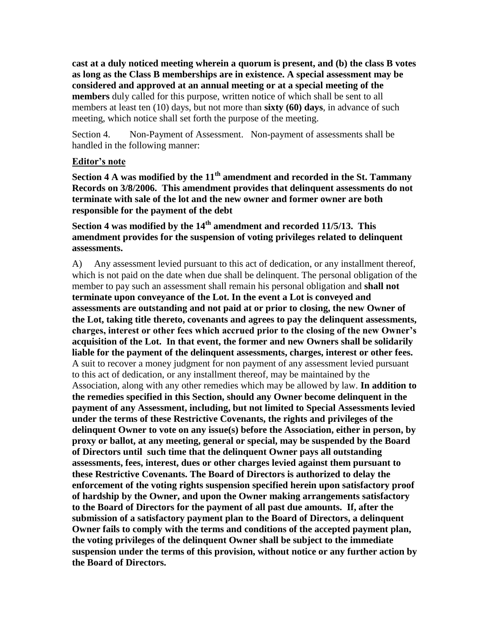**cast at a duly noticed meeting wherein a quorum is present, and (b) the class B votes as long as the Class B memberships are in existence. A special assessment may be considered and approved at an annual meeting or at a special meeting of the members** duly called for this purpose, written notice of which shall be sent to all members at least ten (10) days, but not more than **sixty (60) days**, in advance of such meeting, which notice shall set forth the purpose of the meeting.

Section 4. Non-Payment of Assessment. Non-payment of assessments shall be handled in the following manner:

#### **Editor's note**

**Section 4 A was modified by the 11th amendment and recorded in the St. Tammany Records on 3/8/2006. This amendment provides that delinquent assessments do not terminate with sale of the lot and the new owner and former owner are both responsible for the payment of the debt**

# **Section 4 was modified by the 14th amendment and recorded 11/5/13. This amendment provides for the suspension of voting privileges related to delinquent assessments.**

A) Any assessment levied pursuant to this act of dedication, or any installment thereof, which is not paid on the date when due shall be delinquent. The personal obligation of the member to pay such an assessment shall remain his personal obligation and **shall not terminate upon conveyance of the Lot. In the event a Lot is conveyed and assessments are outstanding and not paid at or prior to closing, the new Owner of the Lot, taking title thereto, covenants and agrees to pay the delinquent assessments, charges, interest or other fees which accrued prior to the closing of the new Owner's acquisition of the Lot. In that event, the former and new Owners shall be solidarily liable for the payment of the delinquent assessments, charges, interest or other fees.**  A suit to recover a money judgment for non payment of any assessment levied pursuant to this act of dedication, or any installment thereof, may be maintained by the Association, along with any other remedies which may be allowed by law. **In addition to the remedies specified in this Section, should any Owner become delinquent in the payment of any Assessment, including, but not limited to Special Assessments levied under the terms of these Restrictive Covenants, the rights and privileges of the delinquent Owner to vote on any issue(s) before the Association, either in person, by proxy or ballot, at any meeting, general or special, may be suspended by the Board of Directors until such time that the delinquent Owner pays all outstanding assessments, fees, interest, dues or other charges levied against them pursuant to these Restrictive Covenants. The Board of Directors is authorized to delay the enforcement of the voting rights suspension specified herein upon satisfactory proof of hardship by the Owner, and upon the Owner making arrangements satisfactory to the Board of Directors for the payment of all past due amounts. If, after the submission of a satisfactory payment plan to the Board of Directors, a delinquent Owner fails to comply with the terms and conditions of the accepted payment plan, the voting privileges of the delinquent Owner shall be subject to the immediate suspension under the terms of this provision, without notice or any further action by the Board of Directors.**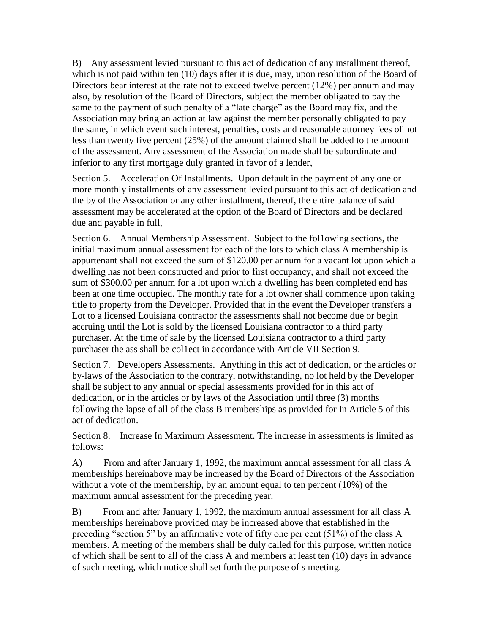B) Any assessment levied pursuant to this act of dedication of any installment thereof, which is not paid within ten (10) days after it is due, may, upon resolution of the Board of Directors bear interest at the rate not to exceed twelve percent (12%) per annum and may also, by resolution of the Board of Directors, subject the member obligated to pay the same to the payment of such penalty of a "late charge" as the Board may fix, and the Association may bring an action at law against the member personally obligated to pay the same, in which event such interest, penalties, costs and reasonable attorney fees of not less than twenty five percent (25%) of the amount claimed shall be added to the amount of the assessment. Any assessment of the Association made shall be subordinate and inferior to any first mortgage duly granted in favor of a lender,

Section 5. Acceleration Of Installments. Upon default in the payment of any one or more monthly installments of any assessment levied pursuant to this act of dedication and the by of the Association or any other installment, thereof, the entire balance of said assessment may be accelerated at the option of the Board of Directors and be declared due and payable in full,

Section 6. Annual Membership Assessment. Subject to the fol1owing sections, the initial maximum annual assessment for each of the lots to which class A membership is appurtenant shall not exceed the sum of \$120.00 per annum for a vacant lot upon which a dwelling has not been constructed and prior to first occupancy, and shall not exceed the sum of \$300.00 per annum for a lot upon which a dwelling has been completed end has been at one time occupied. The monthly rate for a lot owner shall commence upon taking title to property from the Developer. Provided that in the event the Developer transfers a Lot to a licensed Louisiana contractor the assessments shall not become due or begin accruing until the Lot is sold by the licensed Louisiana contractor to a third party purchaser. At the time of sale by the licensed Louisiana contractor to a third party purchaser the ass shall be col1ect in accordance with Article VII Section 9.

Section 7. Developers Assessments. Anything in this act of dedication, or the articles or by-laws of the Association to the contrary, notwithstanding, no lot held by the Developer shall be subject to any annual or special assessments provided for in this act of dedication, or in the articles or by laws of the Association until three (3) months following the lapse of all of the class B memberships as provided for In Article 5 of this act of dedication.

Section 8. Increase In Maximum Assessment. The increase in assessments is limited as follows:

A) From and after January 1, 1992, the maximum annual assessment for all class A memberships hereinabove may be increased by the Board of Directors of the Association without a vote of the membership, by an amount equal to ten percent (10%) of the maximum annual assessment for the preceding year.

B) From and after January 1, 1992, the maximum annual assessment for all class A memberships hereinabove provided may be increased above that established in the preceding "section 5" by an affirmative vote of fifty one per cent (51%) of the class A members. A meeting of the members shall be duly called for this purpose, written notice of which shall be sent to all of the class A and members at least ten (10) days in advance of such meeting, which notice shall set forth the purpose of s meeting.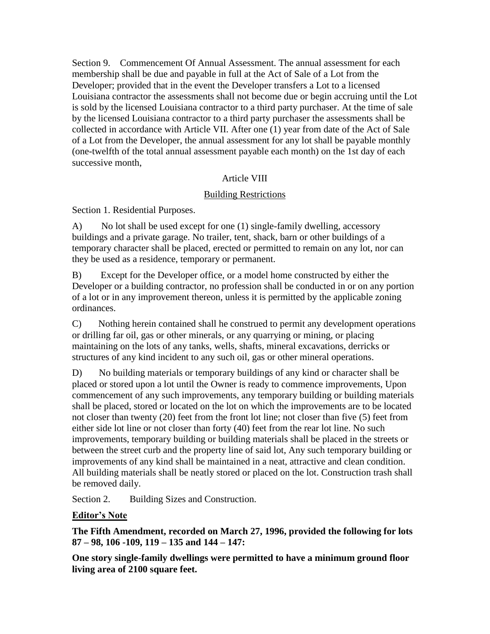Section 9. Commencement Of Annual Assessment. The annual assessment for each membership shall be due and payable in full at the Act of Sale of a Lot from the Developer; provided that in the event the Developer transfers a Lot to a licensed Louisiana contractor the assessments shall not become due or begin accruing until the Lot is sold by the licensed Louisiana contractor to a third party purchaser. At the time of sale by the licensed Louisiana contractor to a third party purchaser the assessments shall be collected in accordance with Article VII. After one (1) year from date of the Act of Sale of a Lot from the Developer, the annual assessment for any lot shall be payable monthly (one-twelfth of the total annual assessment payable each month) on the 1st day of each successive month,

## Article VIII

## Building Restrictions

Section 1. Residential Purposes.

A) No lot shall be used except for one (1) single-family dwelling, accessory buildings and a private garage. No trailer, tent, shack, barn or other buildings of a temporary character shall be placed, erected or permitted to remain on any lot, nor can they be used as a residence, temporary or permanent.

B) Except for the Developer office, or a model home constructed by either the Developer or a building contractor, no profession shall be conducted in or on any portion of a lot or in any improvement thereon, unless it is permitted by the applicable zoning ordinances.

C) Nothing herein contained shall he construed to permit any development operations or drilling far oil, gas or other minerals, or any quarrying or mining, or placing maintaining on the lots of any tanks, wells, shafts, mineral excavations, derricks or structures of any kind incident to any such oil, gas or other mineral operations.

D) No building materials or temporary buildings of any kind or character shall be placed or stored upon a lot until the Owner is ready to commence improvements, Upon commencement of any such improvements, any temporary building or building materials shall be placed, stored or located on the lot on which the improvements are to be located not closer than twenty (20) feet from the front lot line; not closer than five (5) feet from either side lot line or not closer than forty (40) feet from the rear lot line. No such improvements, temporary building or building materials shall be placed in the streets or between the street curb and the property line of said lot, Any such temporary building or improvements of any kind shall be maintained in a neat, attractive and clean condition. All building materials shall be neatly stored or placed on the lot. Construction trash shall be removed daily.

Section 2. Building Sizes and Construction.

## **Editor's Note**

**The Fifth Amendment, recorded on March 27, 1996, provided the following for lots 87 – 98, 106 -109, 119 – 135 and 144 – 147:**

**One story single-family dwellings were permitted to have a minimum ground floor living area of 2100 square feet.**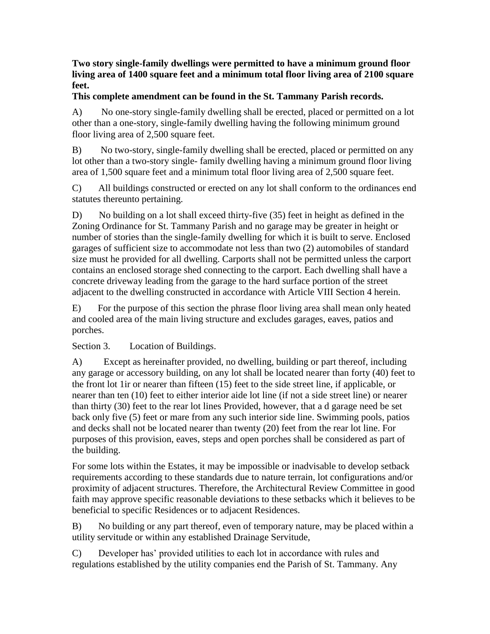## **Two story single-family dwellings were permitted to have a minimum ground floor living area of 1400 square feet and a minimum total floor living area of 2100 square feet.**

## **This complete amendment can be found in the St. Tammany Parish records.**

A) No one-story single-family dwelling shall be erected, placed or permitted on a lot other than a one-story, single-family dwelling having the following minimum ground floor living area of 2,500 square feet.

B) No two-story, single-family dwelling shall be erected, placed or permitted on any lot other than a two-story single- family dwelling having a minimum ground floor living area of 1,500 square feet and a minimum total floor living area of 2,500 square feet.

C) All buildings constructed or erected on any lot shall conform to the ordinances end statutes thereunto pertaining.

D) No building on a lot shall exceed thirty-five (35) feet in height as defined in the Zoning Ordinance for St. Tammany Parish and no garage may be greater in height or number of stories than the single-family dwelling for which it is built to serve. Enclosed garages of sufficient size to accommodate not less than two (2) automobiles of standard size must he provided for all dwelling. Carports shall not be permitted unless the carport contains an enclosed storage shed connecting to the carport. Each dwelling shall have a concrete driveway leading from the garage to the hard surface portion of the street adjacent to the dwelling constructed in accordance with Article VIII Section 4 herein.

E) For the purpose of this section the phrase floor living area shall mean only heated and cooled area of the main living structure and excludes garages, eaves, patios and porches.

Section 3. Location of Buildings.

A) Except as hereinafter provided, no dwelling, building or part thereof, including any garage or accessory building, on any lot shall be located nearer than forty (40) feet to the front lot 1ir or nearer than fifteen (15) feet to the side street line, if applicable, or nearer than ten (10) feet to either interior aide lot line (if not a side street line) or nearer than thirty (30) feet to the rear lot lines Provided, however, that a d garage need be set back only five (5) feet or mare from any such interior side line. Swimming pools, patios and decks shall not be located nearer than twenty (20) feet from the rear lot line. For purposes of this provision, eaves, steps and open porches shall be considered as part of the building.

For some lots within the Estates, it may be impossible or inadvisable to develop setback requirements according to these standards due to nature terrain, lot configurations and/or proximity of adjacent structures. Therefore, the Architectural Review Committee in good faith may approve specific reasonable deviations to these setbacks which it believes to be beneficial to specific Residences or to adjacent Residences.

B) No building or any part thereof, even of temporary nature, may be placed within a utility servitude or within any established Drainage Servitude,

C) Developer has' provided utilities to each lot in accordance with rules and regulations established by the utility companies end the Parish of St. Tammany. Any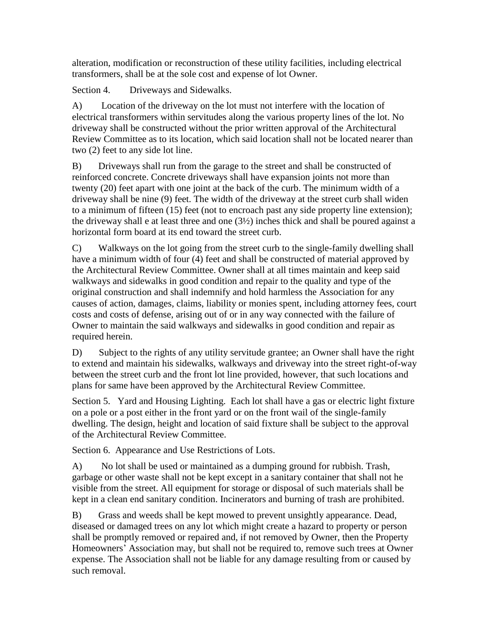alteration, modification or reconstruction of these utility facilities, including electrical transformers, shall be at the sole cost and expense of lot Owner.

Section 4. Driveways and Sidewalks.

A) Location of the driveway on the lot must not interfere with the location of electrical transformers within servitudes along the various property lines of the lot. No driveway shall be constructed without the prior written approval of the Architectural Review Committee as to its location, which said location shall not be located nearer than two (2) feet to any side lot line.

B) Driveways shall run from the garage to the street and shall be constructed of reinforced concrete. Concrete driveways shall have expansion joints not more than twenty (20) feet apart with one joint at the back of the curb. The minimum width of a driveway shall be nine (9) feet. The width of the driveway at the street curb shall widen to a minimum of fifteen (15) feet (not to encroach past any side property line extension); the driveway shall e at least three and one  $(3\frac{1}{2})$  inches thick and shall be poured against a horizontal form board at its end toward the street curb.

C) Walkways on the lot going from the street curb to the single-family dwelling shall have a minimum width of four (4) feet and shall be constructed of material approved by the Architectural Review Committee. Owner shall at all times maintain and keep said walkways and sidewalks in good condition and repair to the quality and type of the original construction and shall indemnify and hold harmless the Association for any causes of action, damages, claims, liability or monies spent, including attorney fees, court costs and costs of defense, arising out of or in any way connected with the failure of Owner to maintain the said walkways and sidewalks in good condition and repair as required herein.

D) Subject to the rights of any utility servitude grantee; an Owner shall have the right to extend and maintain his sidewalks, walkways and driveway into the street right-of-way between the street curb and the front lot line provided, however, that such locations and plans for same have been approved by the Architectural Review Committee.

Section 5. Yard and Housing Lighting. Each lot shall have a gas or electric light fixture on a pole or a post either in the front yard or on the front wail of the single-family dwelling. The design, height and location of said fixture shall be subject to the approval of the Architectural Review Committee.

Section 6. Appearance and Use Restrictions of Lots.

A) No lot shall be used or maintained as a dumping ground for rubbish. Trash, garbage or other waste shall not be kept except in a sanitary container that shall not he visible from the street. All equipment for storage or disposal of such materials shall be kept in a clean end sanitary condition. Incinerators and burning of trash are prohibited.

B) Grass and weeds shall be kept mowed to prevent unsightly appearance. Dead, diseased or damaged trees on any lot which might create a hazard to property or person shall be promptly removed or repaired and, if not removed by Owner, then the Property Homeowners' Association may, but shall not be required to, remove such trees at Owner expense. The Association shall not be liable for any damage resulting from or caused by such removal.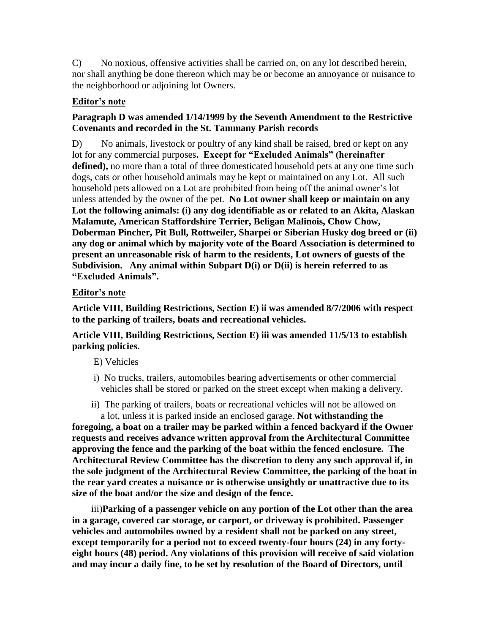C) No noxious, offensive activities shall be carried on, on any lot described herein, nor shall anything be done thereon which may be or become an annoyance or nuisance to the neighborhood or adjoining lot Owners.

## **Editor's note**

# **Paragraph D was amended 1/14/1999 by the Seventh Amendment to the Restrictive Covenants and recorded in the St. Tammany Parish records**

D) No animals, livestock or poultry of any kind shall be raised, bred or kept on any lot for any commercial purposes**. Except for "Excluded Animals" (hereinafter**  defined), no more than a total of three domesticated household pets at any one time such dogs, cats or other household animals may be kept or maintained on any Lot. All such household pets allowed on a Lot are prohibited from being off the animal owner's lot unless attended by the owner of the pet. **No Lot owner shall keep or maintain on any Lot the following animals: (i) any dog identifiable as or related to an Akita, Alaskan Malamute, American Staffordshire Terrier, Beligan Malinois, Chow Chow, Doberman Pincher, Pit Bull, Rottweiler, Sharpei or Siberian Husky dog breed or (ii) any dog or animal which by majority vote of the Board Association is determined to present an unreasonable risk of harm to the residents, Lot owners of guests of the Subdivision. Any animal within Subpart D(i) or D(ii) is herein referred to as "Excluded Animals".**

## **Editor's note**

**Article VIII, Building Restrictions, Section E) ii was amended 8/7/2006 with respect to the parking of trailers, boats and recreational vehicles.**

## **Article VIII, Building Restrictions, Section E) iii was amended 11/5/13 to establish parking policies.**

- E) Vehicles
- i) No trucks, trailers, automobiles bearing advertisements or other commercial vehicles shall be stored or parked on the street except when making a delivery.
- ii) The parking of trailers, boats or recreational vehicles will not be allowed on a lot, unless it is parked inside an enclosed garage. **Not withstanding the**

**foregoing, a boat on a trailer may be parked within a fenced backyard if the Owner requests and receives advance written approval from the Architectural Committee approving the fence and the parking of the boat within the fenced enclosure. The Architectural Review Committee has the discretion to deny any such approval if, in the sole judgment of the Architectural Review Committee, the parking of the boat in the rear yard creates a nuisance or is otherwise unsightly or unattractive due to its size of the boat and/or the size and design of the fence.**

 iii)**Parking of a passenger vehicle on any portion of the Lot other than the area in a garage, covered car storage, or carport, or driveway is prohibited. Passenger vehicles and automobiles owned by a resident shall not be parked on any street, except temporarily for a period not to exceed twenty-four hours (24) in any fortyeight hours (48) period. Any violations of this provision will receive of said violation and may incur a daily fine, to be set by resolution of the Board of Directors, until**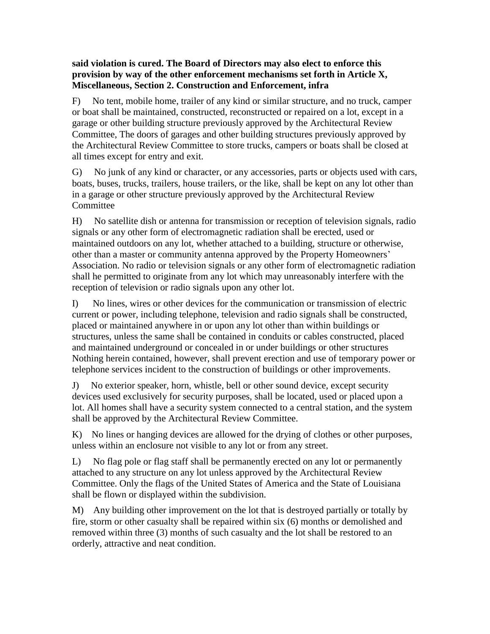## **said violation is cured. The Board of Directors may also elect to enforce this provision by way of the other enforcement mechanisms set forth in Article X, Miscellaneous, Section 2. Construction and Enforcement, infra**

F) No tent, mobile home, trailer of any kind or similar structure, and no truck, camper or boat shall be maintained, constructed, reconstructed or repaired on a lot, except in a garage or other building structure previously approved by the Architectural Review Committee, The doors of garages and other building structures previously approved by the Architectural Review Committee to store trucks, campers or boats shall be closed at all times except for entry and exit.

G) No junk of any kind or character, or any accessories, parts or objects used with cars, boats, buses, trucks, trailers, house trailers, or the like, shall be kept on any lot other than in a garage or other structure previously approved by the Architectural Review **Committee** 

H) No satellite dish or antenna for transmission or reception of television signals, radio signals or any other form of electromagnetic radiation shall be erected, used or maintained outdoors on any lot, whether attached to a building, structure or otherwise, other than a master or community antenna approved by the Property Homeowners' Association. No radio or television signals or any other form of electromagnetic radiation shall he permitted to originate from any lot which may unreasonably interfere with the reception of television or radio signals upon any other lot.

I) No lines, wires or other devices for the communication or transmission of electric current or power, including telephone, television and radio signals shall be constructed, placed or maintained anywhere in or upon any lot other than within buildings or structures, unless the same shall be contained in conduits or cables constructed, placed and maintained underground or concealed in or under buildings or other structures Nothing herein contained, however, shall prevent erection and use of temporary power or telephone services incident to the construction of buildings or other improvements.

J) No exterior speaker, horn, whistle, bell or other sound device, except security devices used exclusively for security purposes, shall be located, used or placed upon a lot. All homes shall have a security system connected to a central station, and the system shall be approved by the Architectural Review Committee.

K) No lines or hanging devices are allowed for the drying of clothes or other purposes, unless within an enclosure not visible to any lot or from any street.

L) No flag pole or flag staff shall be permanently erected on any lot or permanently attached to any structure on any lot unless approved by the Architectural Review Committee. Only the flags of the United States of America and the State of Louisiana shall be flown or displayed within the subdivision.

M) Any building other improvement on the lot that is destroyed partially or totally by fire, storm or other casualty shall be repaired within six (6) months or demolished and removed within three (3) months of such casualty and the lot shall be restored to an orderly, attractive and neat condition.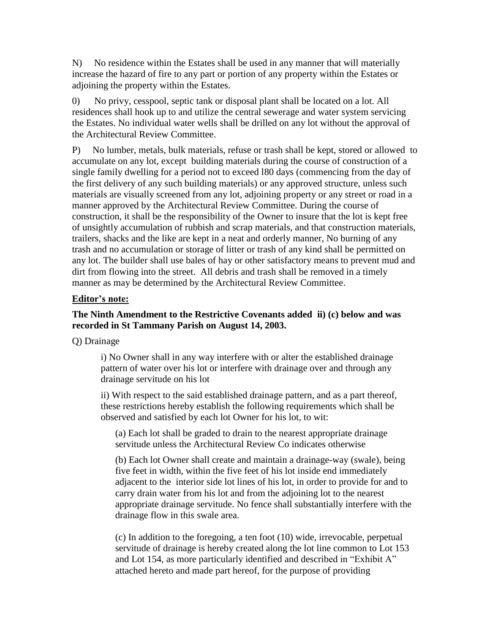N) No residence within the Estates shall be used in any manner that will materially increase the hazard of fire to any part or portion of any property within the Estates or adjoining the property within the Estates.

0) No privy, cesspool, septic tank or disposal plant shall be located on a lot. All residences shall hook up to and utilize the central sewerage and water system servicing the Estates. No individual water wells shall be drilled on any lot without the approval of the Architectural Review Committee.

P) No lumber, metals, bulk materials, refuse or trash shall be kept, stored or allowed to accumulate on any lot, except building materials during the course of construction of a single family dwelling for a period not to exceed l80 days (commencing from the day of the first delivery of any such building materials) or any approved structure, unless such materials are visually screened from any lot, adjoining property or any street or road in a manner approved by the Architectural Review Committee. During the course of construction, it shall be the responsibility of the Owner to insure that the lot is kept free of unsightly accumulation of rubbish and scrap materials, and that construction materials, trailers, shacks and the like are kept in a neat and orderly manner, No burning of any trash and no accumulation or storage of litter or trash of any kind shall be permitted on any lot. The builder shall use bales of hay or other satisfactory means to prevent mud and dirt from flowing into the street. All debris and trash shall be removed in a timely manner as may be determined by the Architectural Review Committee.

#### **Editor's note:**

### **The Ninth Amendment to the Restrictive Covenants added ii) (c) below and was recorded in St Tammany Parish on August 14, 2003.**

Q) Drainage

i) No Owner shall in any way interfere with or alter the established drainage pattern of water over his lot or interfere with drainage over and through any drainage servitude on his lot

ii) With respect to the said established drainage pattern, and as a part thereof, these restrictions hereby establish the following requirements which shall be observed and satisfied by each lot Owner for his lot, to wit:

 (a) Each lot shall be graded to drain to the nearest appropriate drainage servitude unless the Architectural Review Co indicates otherwise

(b) Each lot Owner shall create and maintain a drainage-way (swale), being five feet in width, within the five feet of his lot inside end immediately adjacent to the interior side lot lines of his lot, in order to provide for and to carry drain water from his lot and from the adjoining lot to the nearest appropriate drainage servitude. No fence shall substantially interfere with the drainage flow in this swale area.

(c) In addition to the foregoing, a ten foot (10) wide, irrevocable, perpetual servitude of drainage is hereby created along the lot line common to Lot 153 and Lot 154, as more particularly identified and described in "Exhibit A" attached hereto and made part hereof, for the purpose of providing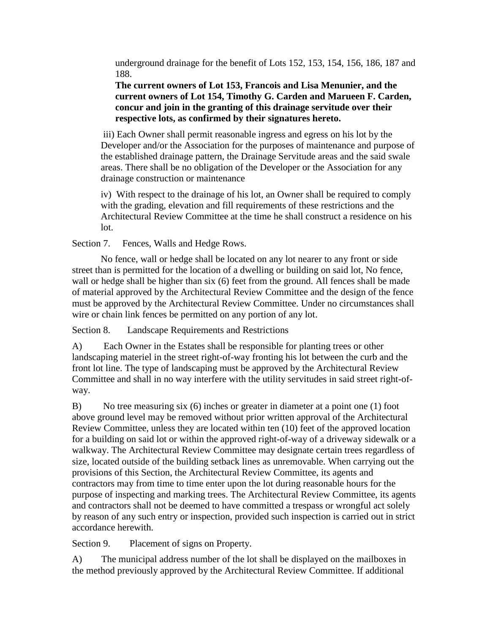underground drainage for the benefit of Lots 152, 153, 154, 156, 186, 187 and 188.

**The current owners of Lot 153, Francois and Lisa Menunier, and the current owners of Lot 154, Timothy G. Carden and Marueen F. Carden, concur and join in the granting of this drainage servitude over their respective lots, as confirmed by their signatures hereto.**

 iii) Each Owner shall permit reasonable ingress and egress on his lot by the Developer and/or the Association for the purposes of maintenance and purpose of the established drainage pattern, the Drainage Servitude areas and the said swale areas. There shall be no obligation of the Developer or the Association for any drainage construction or maintenance

iv) With respect to the drainage of his lot, an Owner shall be required to comply with the grading, elevation and fill requirements of these restrictions and the Architectural Review Committee at the time he shall construct a residence on his lot.

Section 7. Fences, Walls and Hedge Rows.

 No fence, wall or hedge shall be located on any lot nearer to any front or side street than is permitted for the location of a dwelling or building on said lot, No fence, wall or hedge shall be higher than six (6) feet from the ground. All fences shall be made of material approved by the Architectural Review Committee and the design of the fence must be approved by the Architectural Review Committee. Under no circumstances shall wire or chain link fences be permitted on any portion of any lot.

Section 8. Landscape Requirements and Restrictions

A) Each Owner in the Estates shall be responsible for planting trees or other landscaping materiel in the street right-of-way fronting his lot between the curb and the front lot line. The type of landscaping must be approved by the Architectural Review Committee and shall in no way interfere with the utility servitudes in said street right-ofway.

B) No tree measuring six (6) inches or greater in diameter at a point one (1) foot above ground level may be removed without prior written approval of the Architectural Review Committee, unless they are located within ten (10) feet of the approved location for a building on said lot or within the approved right-of-way of a driveway sidewalk or a walkway. The Architectural Review Committee may designate certain trees regardless of size, located outside of the building setback lines as unremovable. When carrying out the provisions of this Section, the Architectural Review Committee, its agents and contractors may from time to time enter upon the lot during reasonable hours for the purpose of inspecting and marking trees. The Architectural Review Committee, its agents and contractors shall not be deemed to have committed a trespass or wrongful act solely by reason of any such entry or inspection, provided such inspection is carried out in strict accordance herewith.

Section 9. Placement of signs on Property.

A) The municipal address number of the lot shall be displayed on the mailboxes in the method previously approved by the Architectural Review Committee. If additional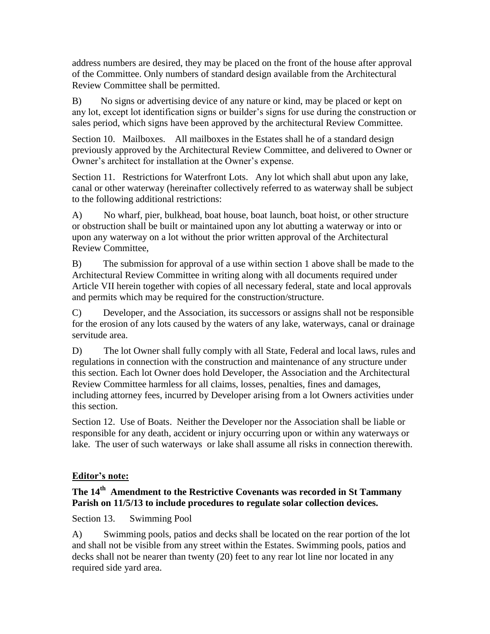address numbers are desired, they may be placed on the front of the house after approval of the Committee. Only numbers of standard design available from the Architectural Review Committee shall be permitted.

B) No signs or advertising device of any nature or kind, may be placed or kept on any lot, except lot identification signs or builder's signs for use during the construction or sales period, which signs have been approved by the architectural Review Committee.

Section 10. Mailboxes. All mailboxes in the Estates shall he of a standard design previously approved by the Architectural Review Committee, and delivered to Owner or Owner's architect for installation at the Owner's expense.

Section 11. Restrictions for Waterfront Lots. Any lot which shall abut upon any lake, canal or other waterway (hereinafter collectively referred to as waterway shall be subject to the following additional restrictions:

A) No wharf, pier, bulkhead, boat house, boat launch, boat hoist, or other structure or obstruction shall be built or maintained upon any lot abutting a waterway or into or upon any waterway on a lot without the prior written approval of the Architectural Review Committee,

B) The submission for approval of a use within section 1 above shall be made to the Architectural Review Committee in writing along with all documents required under Article VII herein together with copies of all necessary federal, state and local approvals and permits which may be required for the construction/structure.

C) Developer, and the Association, its successors or assigns shall not be responsible for the erosion of any lots caused by the waters of any lake, waterways, canal or drainage servitude area.

D) The lot Owner shall fully comply with all State, Federal and local laws, rules and regulations in connection with the construction and maintenance of any structure under this section. Each lot Owner does hold Developer, the Association and the Architectural Review Committee harmless for all claims, losses, penalties, fines and damages, including attorney fees, incurred by Developer arising from a lot Owners activities under this section.

Section 12. Use of Boats. Neither the Developer nor the Association shall be liable or responsible for any death, accident or injury occurring upon or within any waterways or lake. The user of such waterways or lake shall assume all risks in connection therewith.

# **Editor's note:**

## **The 14th Amendment to the Restrictive Covenants was recorded in St Tammany Parish on 11/5/13 to include procedures to regulate solar collection devices.**

Section 13. Swimming Pool

A) Swimming pools, patios and decks shall be located on the rear portion of the lot and shall not be visible from any street within the Estates. Swimming pools, patios and decks shall not be nearer than twenty (20) feet to any rear lot line nor located in any required side yard area.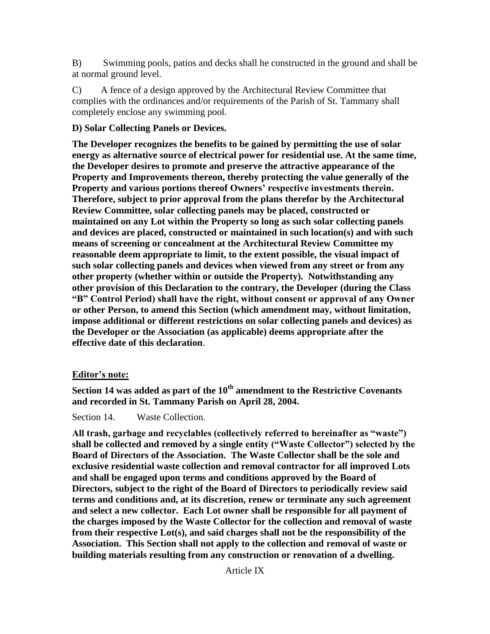B) Swimming pools, patios and decks shall he constructed in the ground and shall be at normal ground level.

C) A fence of a design approved by the Architectural Review Committee that complies with the ordinances and/or requirements of the Parish of St. Tammany shall completely enclose any swimming pool.

# **D) Solar Collecting Panels or Devices.**

**The Developer recognizes the benefits to be gained by permitting the use of solar energy as alternative source of electrical power for residential use. At the same time, the Developer desires to promote and preserve the attractive appearance of the Property and Improvements thereon, thereby protecting the value generally of the Property and various portions thereof Owners' respective investments therein. Therefore, subject to prior approval from the plans therefor by the Architectural Review Committee, solar collecting panels may be placed, constructed or maintained on any Lot within the Property so long as such solar collecting panels and devices are placed, constructed or maintained in such location(s) and with such means of screening or concealment at the Architectural Review Committee my reasonable deem appropriate to limit, to the extent possible, the visual impact of such solar collecting panels and devices when viewed from any street or from any other property (whether within or outside the Property). Notwithstanding any other provision of this Declaration to the contrary, the Developer (during the Class "B" Control Period) shall have the right, without consent or approval of any Owner or other Person, to amend this Section (which amendment may, without limitation, impose additional or different restrictions on solar collecting panels and devices) as the Developer or the Association (as applicable) deems appropriate after the effective date of this declaration**.

# **Editor's note:**

**Section 14 was added as part of the 10th amendment to the Restrictive Covenants and recorded in St. Tammany Parish on April 28, 2004.**

Section 14. Waste Collection.

**All trash, garbage and recyclables (collectively referred to hereinafter as "waste") shall be collected and removed by a single entity ("Waste Collector") selected by the Board of Directors of the Association. The Waste Collector shall be the sole and exclusive residential waste collection and removal contractor for all improved Lots and shall be engaged upon terms and conditions approved by the Board of Directors, subject to the right of the Board of Directors to periodically review said terms and conditions and, at its discretion, renew or terminate any such agreement and select a new collector. Each Lot owner shall be responsible for all payment of the charges imposed by the Waste Collector for the collection and removal of waste from their respective Lot(s), and said charges shall not be the responsibility of the Association. This Section shall not apply to the collection and removal of waste or building materials resulting from any construction or renovation of a dwelling.**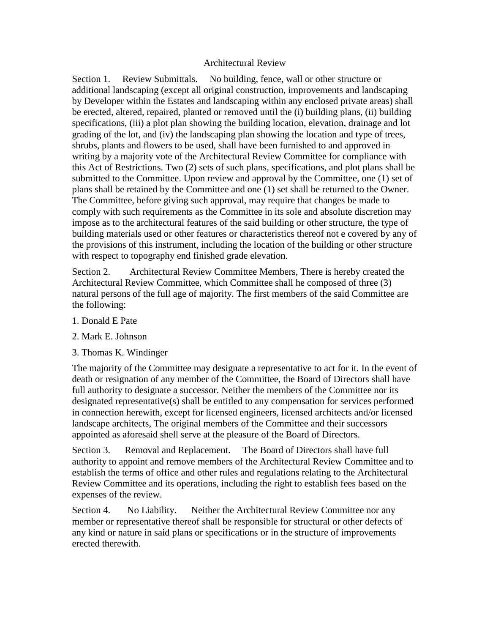#### Architectural Review

Section 1. Review Submittals. No building, fence, wall or other structure or additional landscaping (except all original construction, improvements and landscaping by Developer within the Estates and landscaping within any enclosed private areas) shall be erected, altered, repaired, planted or removed until the (i) building plans, (ii) building specifications, (iii) a plot plan showing the building location, elevation, drainage and lot grading of the lot, and (iv) the landscaping plan showing the location and type of trees, shrubs, plants and flowers to be used, shall have been furnished to and approved in writing by a majority vote of the Architectural Review Committee for compliance with this Act of Restrictions. Two (2) sets of such plans, specifications, and plot plans shall be submitted to the Committee. Upon review and approval by the Committee, one (1) set of plans shall be retained by the Committee and one (1) set shall be returned to the Owner. The Committee, before giving such approval, may require that changes be made to comply with such requirements as the Committee in its sole and absolute discretion may impose as to the architectural features of the said building or other structure, the type of building materials used or other features or characteristics thereof not e covered by any of the provisions of this instrument, including the location of the building or other structure with respect to topography end finished grade elevation.

Section 2. Architectural Review Committee Members, There is hereby created the Architectural Review Committee, which Committee shall he composed of three (3) natural persons of the full age of majority. The first members of the said Committee are the following:

- 1. Donald E Pate
- 2. Mark E. Johnson
- 3. Thomas K. Windinger

The majority of the Committee may designate a representative to act for it. In the event of death or resignation of any member of the Committee, the Board of Directors shall have full authority to designate a successor. Neither the members of the Committee nor its designated representative(s) shall be entitled to any compensation for services performed in connection herewith, except for licensed engineers, licensed architects and/or licensed landscape architects, The original members of the Committee and their successors appointed as aforesaid shell serve at the pleasure of the Board of Directors.

Section 3. Removal and Replacement. The Board of Directors shall have full authority to appoint and remove members of the Architectural Review Committee and to establish the terms of office and other rules and regulations relating to the Architectural Review Committee and its operations, including the right to establish fees based on the expenses of the review.

Section 4. No Liability. Neither the Architectural Review Committee nor any member or representative thereof shall be responsible for structural or other defects of any kind or nature in said plans or specifications or in the structure of improvements erected therewith.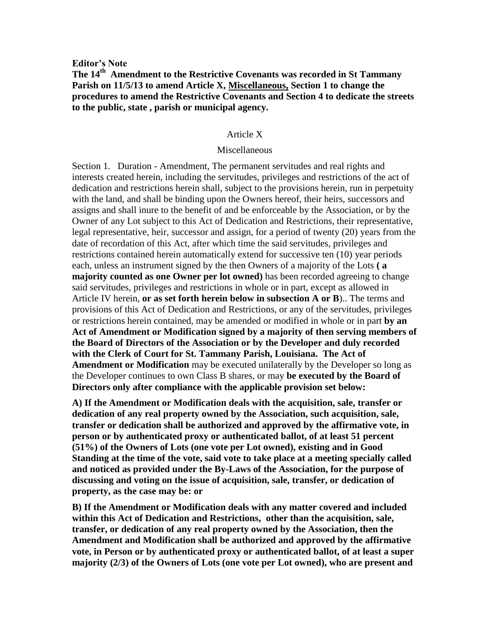**Editor's Note** 

## **The 14th Amendment to the Restrictive Covenants was recorded in St Tammany Parish on 11/5/13 to amend Article X, Miscellaneous, Section 1 to change the procedures to amend the Restrictive Covenants and Section 4 to dedicate the streets to the public, state , parish or municipal agency.**

#### Article X

#### Miscellaneous

Section 1. Duration - Amendment, The permanent servitudes and real rights and interests created herein, including the servitudes, privileges and restrictions of the act of dedication and restrictions herein shall, subject to the provisions herein, run in perpetuity with the land, and shall be binding upon the Owners hereof, their heirs, successors and assigns and shall inure to the benefit of and be enforceable by the Association, or by the Owner of any Lot subject to this Act of Dedication and Restrictions, their representative, legal representative, heir, successor and assign, for a period of twenty (20) years from the date of recordation of this Act, after which time the said servitudes, privileges and restrictions contained herein automatically extend for successive ten (10) year periods each, unless an instrument signed by the then Owners of a majority of the Lots **( a majority counted as one Owner per lot owned)** has been recorded agreeing to change said servitudes, privileges and restrictions in whole or in part, except as allowed in Article IV herein, **or as set forth herein below in subsection A or B**).. The terms and provisions of this Act of Dedication and Restrictions, or any of the servitudes, privileges or restrictions herein contained, may be amended or modified in whole or in part **by an Act of Amendment or Modification signed by a majority of then serving members of the Board of Directors of the Association or by the Developer and duly recorded with the Clerk of Court for St. Tammany Parish, Louisiana. The Act of Amendment or Modification** may be executed unilaterally by the Developer so long as the Developer continues to own Class B shares, or may **be executed by the Board of Directors only after compliance with the applicable provision set below:**

**A) If the Amendment or Modification deals with the acquisition, sale, transfer or dedication of any real property owned by the Association, such acquisition, sale, transfer or dedication shall be authorized and approved by the affirmative vote, in person or by authenticated proxy or authenticated ballot, of at least 51 percent (51%) of the Owners of Lots (one vote per Lot owned), existing and in Good Standing at the time of the vote, said vote to take place at a meeting specially called and noticed as provided under the By-Laws of the Association, for the purpose of discussing and voting on the issue of acquisition, sale, transfer, or dedication of property, as the case may be: or**

**B) If the Amendment or Modification deals with any matter covered and included within this Act of Dedication and Restrictions, other than the acquisition, sale, transfer, or dedication of any real property owned by the Association, then the Amendment and Modification shall be authorized and approved by the affirmative vote, in Person or by authenticated proxy or authenticated ballot, of at least a super majority (2/3) of the Owners of Lots (one vote per Lot owned), who are present and**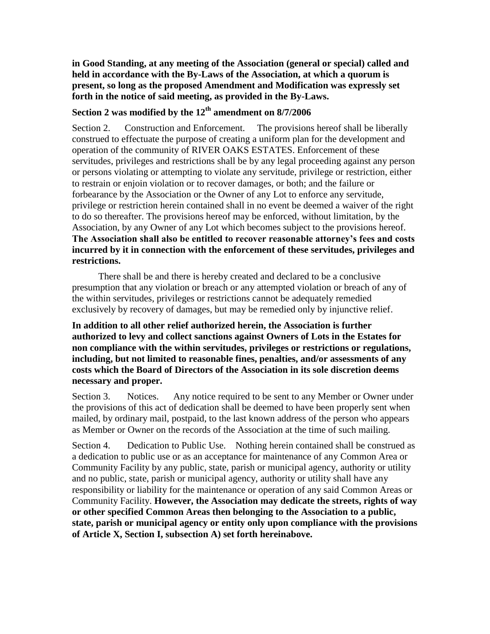**in Good Standing, at any meeting of the Association (general or special) called and held in accordance with the By-Laws of the Association, at which a quorum is present, so long as the proposed Amendment and Modification was expressly set forth in the notice of said meeting, as provided in the By-Laws.**

# **Section 2 was modified by the 12th amendment on 8/7/2006**

Section 2. Construction and Enforcement. The provisions hereof shall be liberally construed to effectuate the purpose of creating a uniform plan for the development and operation of the community of RIVER OAKS ESTATES. Enforcement of these servitudes, privileges and restrictions shall be by any legal proceeding against any person or persons violating or attempting to violate any servitude, privilege or restriction, either to restrain or enjoin violation or to recover damages, or both; and the failure or forbearance by the Association or the Owner of any Lot to enforce any servitude, privilege or restriction herein contained shall in no event be deemed a waiver of the right to do so thereafter. The provisions hereof may be enforced, without limitation, by the Association, by any Owner of any Lot which becomes subject to the provisions hereof. **The Association shall also be entitled to recover reasonable attorney's fees and costs incurred by it in connection with the enforcement of these servitudes, privileges and restrictions.**

 There shall be and there is hereby created and declared to be a conclusive presumption that any violation or breach or any attempted violation or breach of any of the within servitudes, privileges or restrictions cannot be adequately remedied exclusively by recovery of damages, but may be remedied only by injunctive relief.

**In addition to all other relief authorized herein, the Association is further authorized to levy and collect sanctions against Owners of Lots in the Estates for non compliance with the within servitudes, privileges or restrictions or regulations, including, but not limited to reasonable fines, penalties, and/or assessments of any costs which the Board of Directors of the Association in its sole discretion deems necessary and proper.**

Section 3. Notices. Any notice required to be sent to any Member or Owner under the provisions of this act of dedication shall be deemed to have been properly sent when mailed, by ordinary mail, postpaid, to the last known address of the person who appears as Member or Owner on the records of the Association at the time of such mailing.

Section 4. Dedication to Public Use. Nothing herein contained shall be construed as a dedication to public use or as an acceptance for maintenance of any Common Area or Community Facility by any public, state, parish or municipal agency, authority or utility and no public, state, parish or municipal agency, authority or utility shall have any responsibility or liability for the maintenance or operation of any said Common Areas or Community Facility. **However, the Association may dedicate the streets, rights of way or other specified Common Areas then belonging to the Association to a public, state, parish or municipal agency or entity only upon compliance with the provisions of Article X, Section I, subsection A) set forth hereinabove.**